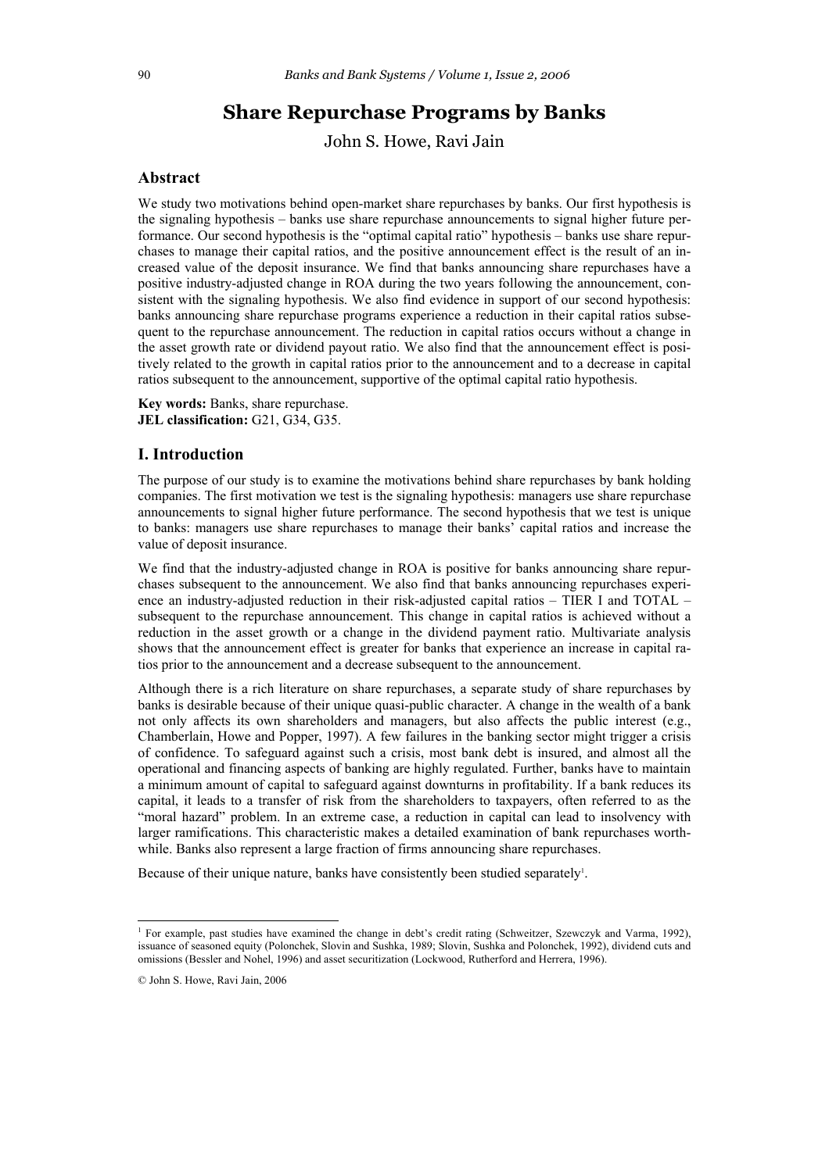# **Share Repurchase Programs by Banks**

John S. Howe, Ravi Jain

# **Abstract**

We study two motivations behind open-market share repurchases by banks. Our first hypothesis is the signaling hypothesis – banks use share repurchase announcements to signal higher future performance. Our second hypothesis is the "optimal capital ratio" hypothesis – banks use share repurchases to manage their capital ratios, and the positive announcement effect is the result of an increased value of the deposit insurance. We find that banks announcing share repurchases have a positive industry-adjusted change in ROA during the two years following the announcement, consistent with the signaling hypothesis. We also find evidence in support of our second hypothesis: banks announcing share repurchase programs experience a reduction in their capital ratios subsequent to the repurchase announcement. The reduction in capital ratios occurs without a change in the asset growth rate or dividend payout ratio. We also find that the announcement effect is positively related to the growth in capital ratios prior to the announcement and to a decrease in capital ratios subsequent to the announcement, supportive of the optimal capital ratio hypothesis.

**Key words:** Banks, share repurchase. **JEL classification:** G21, G34, G35.

# **I. Introduction**

The purpose of our study is to examine the motivations behind share repurchases by bank holding companies. The first motivation we test is the signaling hypothesis: managers use share repurchase announcements to signal higher future performance. The second hypothesis that we test is unique to banks: managers use share repurchases to manage their banks' capital ratios and increase the value of deposit insurance.

We find that the industry-adjusted change in ROA is positive for banks announcing share repurchases subsequent to the announcement. We also find that banks announcing repurchases experience an industry-adjusted reduction in their risk-adjusted capital ratios – TIER I and TOTAL – subsequent to the repurchase announcement. This change in capital ratios is achieved without a reduction in the asset growth or a change in the dividend payment ratio. Multivariate analysis shows that the announcement effect is greater for banks that experience an increase in capital ratios prior to the announcement and a decrease subsequent to the announcement.

Although there is a rich literature on share repurchases, a separate study of share repurchases by banks is desirable because of their unique quasi-public character. A change in the wealth of a bank not only affects its own shareholders and managers, but also affects the public interest (e.g., Chamberlain, Howe and Popper, 1997). A few failures in the banking sector might trigger a crisis of confidence. To safeguard against such a crisis, most bank debt is insured, and almost all the operational and financing aspects of banking are highly regulated. Further, banks have to maintain a minimum amount of capital to safeguard against downturns in profitability. If a bank reduces its capital, it leads to a transfer of risk from the shareholders to taxpayers, often referred to as the "moral hazard" problem. In an extreme case, a reduction in capital can lead to insolvency with larger ramifications. This characteristic makes a detailed examination of bank repurchases worthwhile. Banks also represent a large fraction of firms announcing share repurchases.

Because of their unique nature, banks have consistently been studied separately<sup>1</sup>.

<sup>&</sup>lt;sup>1</sup> For example, past studies have examined the change in debt's credit rating (Schweitzer, Szewczyk and Varma, 1992), issuance of seasoned equity (Polonchek, Slovin and Sushka, 1989; Slovin, Sushka and Polonchek, 1992), dividend cuts and omissions (Bessler and Nohel, 1996) and asset securitization (Lockwood, Rutherford and Herrera, 1996).

<sup>©</sup> John S. Howe, Ravi Jain, 2006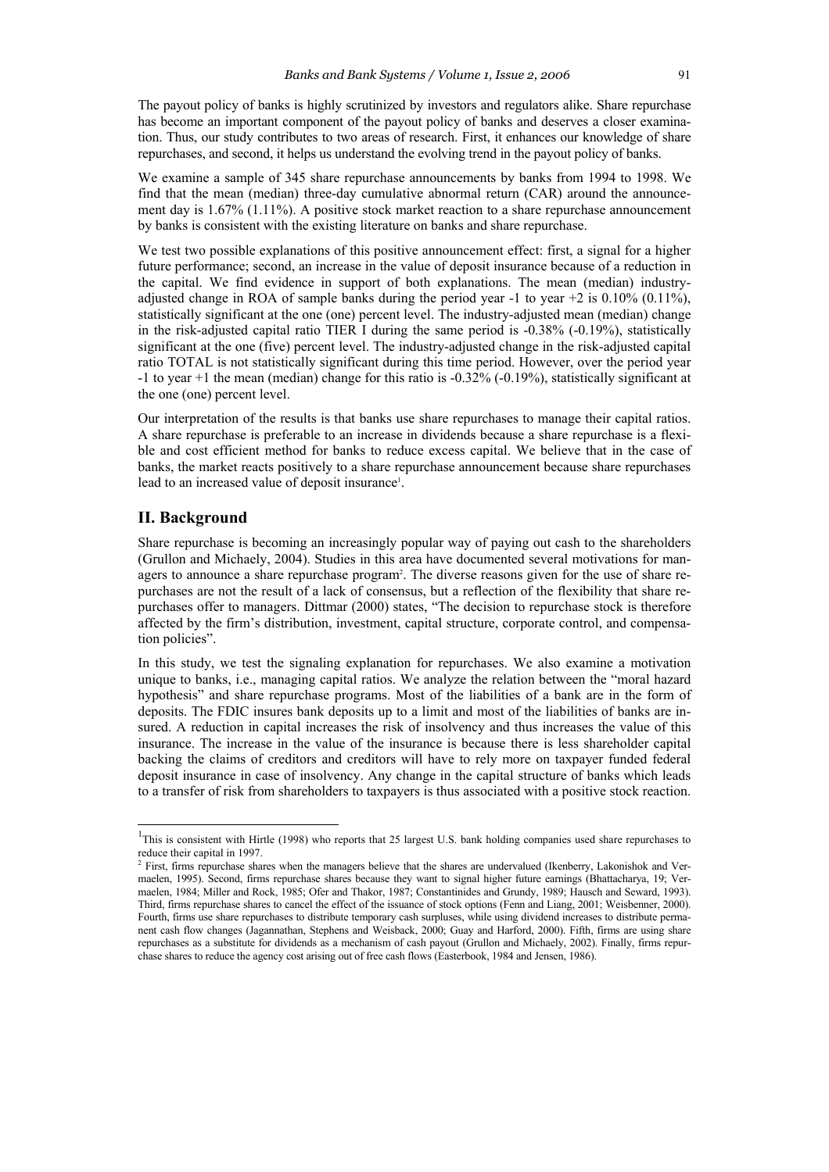The payout policy of banks is highly scrutinized by investors and regulators alike. Share repurchase has become an important component of the payout policy of banks and deserves a closer examination. Thus, our study contributes to two areas of research. First, it enhances our knowledge of share repurchases, and second, it helps us understand the evolving trend in the payout policy of banks.

We examine a sample of 345 share repurchase announcements by banks from 1994 to 1998. We find that the mean (median) three-day cumulative abnormal return (CAR) around the announcement day is 1.67% (1.11%). A positive stock market reaction to a share repurchase announcement by banks is consistent with the existing literature on banks and share repurchase.

We test two possible explanations of this positive announcement effect: first, a signal for a higher future performance; second, an increase in the value of deposit insurance because of a reduction in the capital. We find evidence in support of both explanations. The mean (median) industryadjusted change in ROA of sample banks during the period year  $-1$  to year  $+2$  is 0.10% (0.11%), statistically significant at the one (one) percent level. The industry-adjusted mean (median) change in the risk-adjusted capital ratio TIER I during the same period is -0.38% (-0.19%), statistically significant at the one (five) percent level. The industry-adjusted change in the risk-adjusted capital ratio TOTAL is not statistically significant during this time period. However, over the period year  $-1$  to year  $+1$  the mean (median) change for this ratio is  $-0.32\%$  ( $-0.19\%$ ), statistically significant at the one (one) percent level.

Our interpretation of the results is that banks use share repurchases to manage their capital ratios. A share repurchase is preferable to an increase in dividends because a share repurchase is a flexible and cost efficient method for banks to reduce excess capital. We believe that in the case of banks, the market reacts positively to a share repurchase announcement because share repurchases lead to an increased value of deposit insurance<sup>1</sup>.

# **II. Background**

 $\overline{\phantom{a}}$ 

Share repurchase is becoming an increasingly popular way of paying out cash to the shareholders (Grullon and Michaely, 2004). Studies in this area have documented several motivations for managers to announce a share repurchase program<sup>2</sup>. The diverse reasons given for the use of share repurchases are not the result of a lack of consensus, but a reflection of the flexibility that share repurchases offer to managers. Dittmar (2000) states, "The decision to repurchase stock is therefore affected by the firm's distribution, investment, capital structure, corporate control, and compensation policies".

In this study, we test the signaling explanation for repurchases. We also examine a motivation unique to banks, i.e., managing capital ratios. We analyze the relation between the "moral hazard hypothesis" and share repurchase programs. Most of the liabilities of a bank are in the form of deposits. The FDIC insures bank deposits up to a limit and most of the liabilities of banks are insured. A reduction in capital increases the risk of insolvency and thus increases the value of this insurance. The increase in the value of the insurance is because there is less shareholder capital backing the claims of creditors and creditors will have to rely more on taxpayer funded federal deposit insurance in case of insolvency. Any change in the capital structure of banks which leads to a transfer of risk from shareholders to taxpayers is thus associated with a positive stock reaction.

<sup>&</sup>lt;sup>1</sup>This is consistent with Hirtle (1998) who reports that 25 largest U.S. bank holding companies used share repurchases to reduce their capital in 1997.<br><sup>2</sup> First, firms repurchase shares when the managers believe that the shares are undervalued (Ikenberry, Lakonishok and Ver-

maelen, 1995). Second, firms repurchase shares because they want to signal higher future earnings (Bhattacharya, 19; Vermaelen, 1984; Miller and Rock, 1985; Ofer and Thakor, 1987; Constantinides and Grundy, 1989; Hausch and Seward, 1993). Third, firms repurchase shares to cancel the effect of the issuance of stock options (Fenn and Liang, 2001; Weisbenner, 2000). Fourth, firms use share repurchases to distribute temporary cash surpluses, while using dividend increases to distribute permanent cash flow changes (Jagannathan, Stephens and Weisback, 2000; Guay and Harford, 2000). Fifth, firms are using share repurchases as a substitute for dividends as a mechanism of cash payout (Grullon and Michaely, 2002). Finally, firms repurchase shares to reduce the agency cost arising out of free cash flows (Easterbook, 1984 and Jensen, 1986).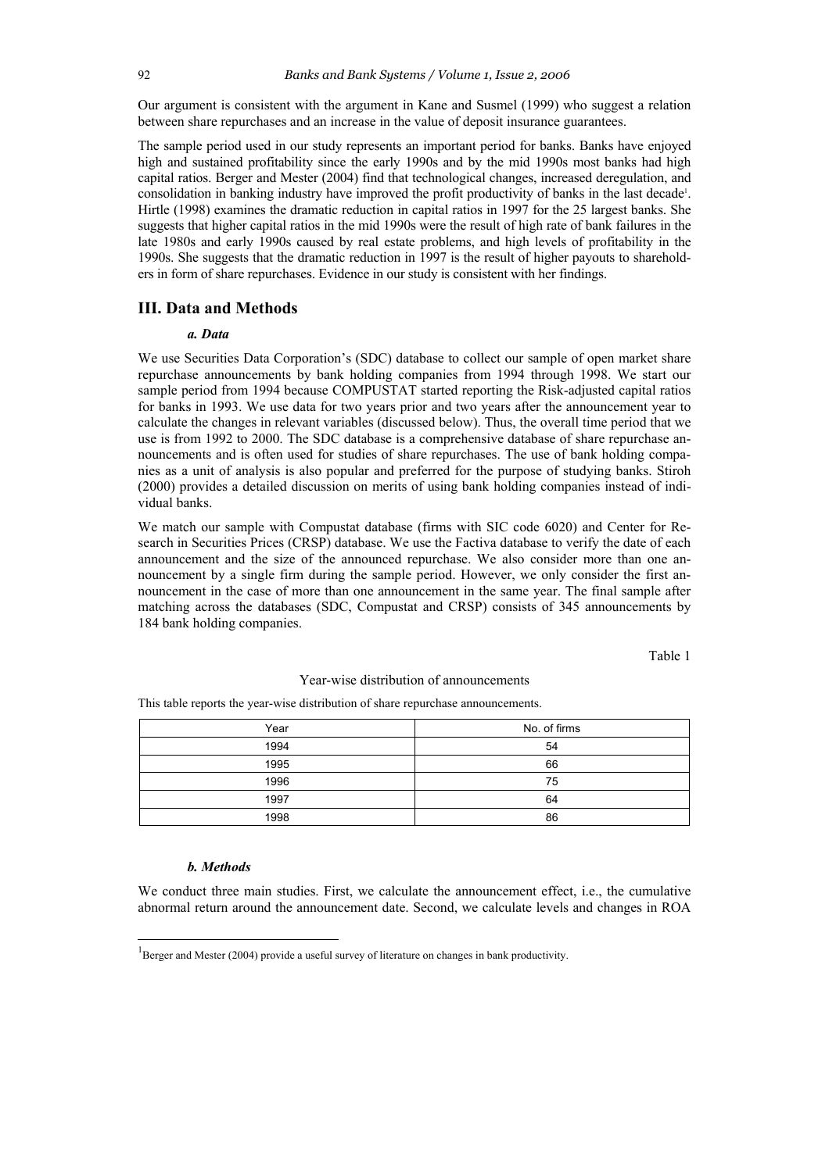Our argument is consistent with the argument in Kane and Susmel (1999) who suggest a relation between share repurchases and an increase in the value of deposit insurance guarantees.

The sample period used in our study represents an important period for banks. Banks have enjoyed high and sustained profitability since the early 1990s and by the mid 1990s most banks had high capital ratios. Berger and Mester (2004) find that technological changes, increased deregulation, and consolidation in banking industry have improved the profit productivity of banks in the last decade<sup>1</sup>. Hirtle (1998) examines the dramatic reduction in capital ratios in 1997 for the 25 largest banks. She suggests that higher capital ratios in the mid 1990s were the result of high rate of bank failures in the late 1980s and early 1990s caused by real estate problems, and high levels of profitability in the 1990s. She suggests that the dramatic reduction in 1997 is the result of higher payouts to shareholders in form of share repurchases. Evidence in our study is consistent with her findings.

# **III. Data and Methods**

### *a. Data*

We use Securities Data Corporation's (SDC) database to collect our sample of open market share repurchase announcements by bank holding companies from 1994 through 1998. We start our sample period from 1994 because COMPUSTAT started reporting the Risk-adjusted capital ratios for banks in 1993. We use data for two years prior and two years after the announcement year to calculate the changes in relevant variables (discussed below). Thus, the overall time period that we use is from 1992 to 2000. The SDC database is a comprehensive database of share repurchase announcements and is often used for studies of share repurchases. The use of bank holding companies as a unit of analysis is also popular and preferred for the purpose of studying banks. Stiroh (2000) provides a detailed discussion on merits of using bank holding companies instead of individual banks.

We match our sample with Compustat database (firms with SIC code 6020) and Center for Research in Securities Prices (CRSP) database. We use the Factiva database to verify the date of each announcement and the size of the announced repurchase. We also consider more than one announcement by a single firm during the sample period. However, we only consider the first announcement in the case of more than one announcement in the same year. The final sample after matching across the databases (SDC, Compustat and CRSP) consists of 345 announcements by 184 bank holding companies.

Table 1

### Year-wise distribution of announcements

This table reports the year-wise distribution of share repurchase announcements.

| Year | No. of firms |
|------|--------------|
| 1994 | 54           |
| 1995 | 66           |
| 1996 | 75           |
| 1997 | 64           |
| 1998 | 86           |

#### *b. Methods*

 $\overline{\phantom{a}}$ 

We conduct three main studies. First, we calculate the announcement effect, i.e., the cumulative abnormal return around the announcement date. Second, we calculate levels and changes in ROA

<sup>&</sup>lt;sup>1</sup>Berger and Mester (2004) provide a useful survey of literature on changes in bank productivity.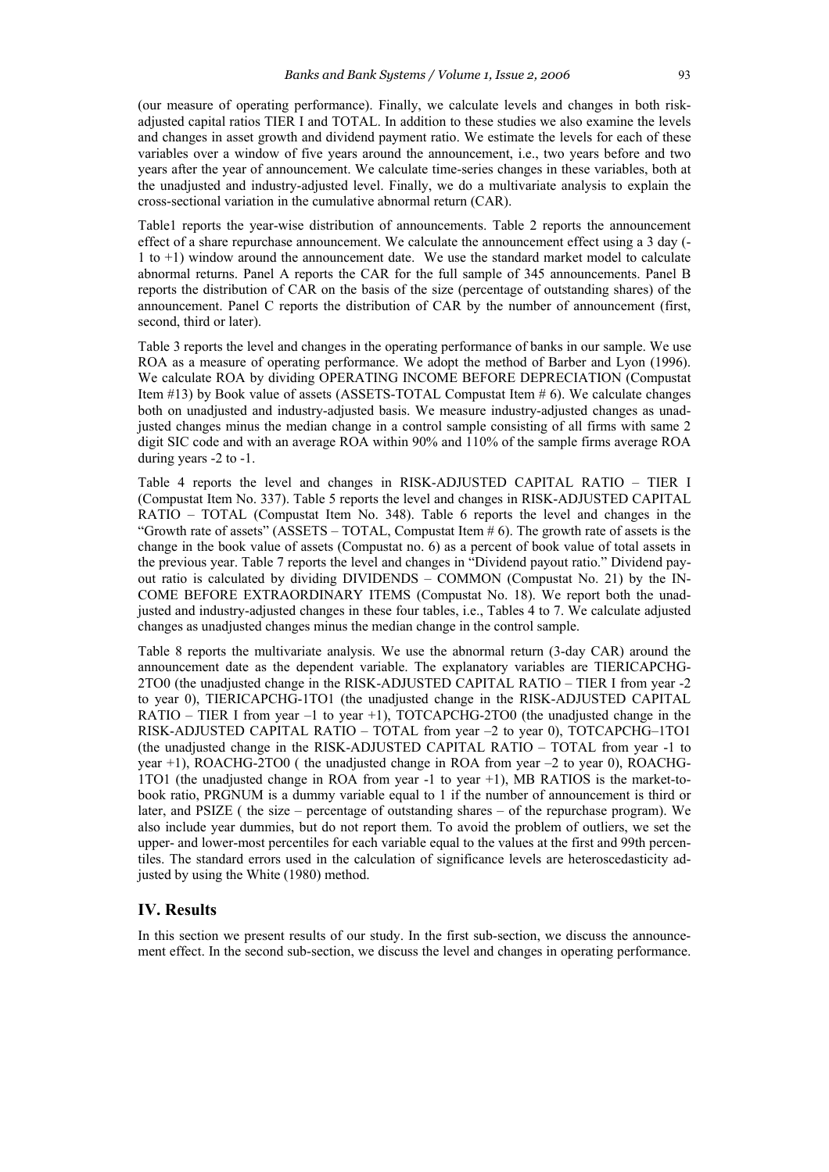(our measure of operating performance). Finally, we calculate levels and changes in both riskadjusted capital ratios TIER I and TOTAL. In addition to these studies we also examine the levels and changes in asset growth and dividend payment ratio. We estimate the levels for each of these variables over a window of five years around the announcement, i.e., two years before and two years after the year of announcement. We calculate time-series changes in these variables, both at the unadjusted and industry-adjusted level. Finally, we do a multivariate analysis to explain the cross-sectional variation in the cumulative abnormal return (CAR).

Table1 reports the year-wise distribution of announcements. Table 2 reports the announcement effect of a share repurchase announcement. We calculate the announcement effect using a 3 day (- 1 to +1) window around the announcement date. We use the standard market model to calculate abnormal returns. Panel A reports the CAR for the full sample of 345 announcements. Panel B reports the distribution of CAR on the basis of the size (percentage of outstanding shares) of the announcement. Panel C reports the distribution of CAR by the number of announcement (first, second, third or later).

Table 3 reports the level and changes in the operating performance of banks in our sample. We use ROA as a measure of operating performance. We adopt the method of Barber and Lyon (1996). We calculate ROA by dividing OPERATING INCOME BEFORE DEPRECIATION (Compustat Item #13) by Book value of assets (ASSETS-TOTAL Compustat Item # 6). We calculate changes both on unadjusted and industry-adjusted basis. We measure industry-adjusted changes as unadjusted changes minus the median change in a control sample consisting of all firms with same 2 digit SIC code and with an average ROA within 90% and 110% of the sample firms average ROA during years -2 to -1.

Table 4 reports the level and changes in RISK-ADJUSTED CAPITAL RATIO – TIER I (Compustat Item No. 337). Table 5 reports the level and changes in RISK-ADJUSTED CAPITAL RATIO – TOTAL (Compustat Item No. 348). Table 6 reports the level and changes in the "Growth rate of assets" (ASSETS – TOTAL, Compustat Item  $\#$  6). The growth rate of assets is the change in the book value of assets (Compustat no. 6) as a percent of book value of total assets in the previous year. Table 7 reports the level and changes in "Dividend payout ratio." Dividend payout ratio is calculated by dividing DIVIDENDS – COMMON (Compustat No. 21) by the IN-COME BEFORE EXTRAORDINARY ITEMS (Compustat No. 18). We report both the unadjusted and industry-adjusted changes in these four tables, i.e., Tables 4 to 7. We calculate adjusted changes as unadjusted changes minus the median change in the control sample.

Table 8 reports the multivariate analysis. We use the abnormal return (3-day CAR) around the announcement date as the dependent variable. The explanatory variables are TIERICAPCHG-2TO0 (the unadjusted change in the RISK-ADJUSTED CAPITAL RATIO – TIER I from year -2 to year 0), TIERICAPCHG-1TO1 (the unadjusted change in the RISK-ADJUSTED CAPITAL RATIO – TIER I from year –1 to year +1), TOTCAPCHG-2TO0 (the unadjusted change in the RISK-ADJUSTED CAPITAL RATIO – TOTAL from year –2 to year 0), TOTCAPCHG–1TO1 (the unadjusted change in the RISK-ADJUSTED CAPITAL RATIO – TOTAL from year -1 to year +1), ROACHG-2TO0 ( the unadjusted change in ROA from year –2 to year 0), ROACHG-1TO1 (the unadjusted change in ROA from year -1 to year +1), MB RATIOS is the market-tobook ratio, PRGNUM is a dummy variable equal to 1 if the number of announcement is third or later, and PSIZE ( the size – percentage of outstanding shares – of the repurchase program). We also include year dummies, but do not report them. To avoid the problem of outliers, we set the upper- and lower-most percentiles for each variable equal to the values at the first and 99th percentiles. The standard errors used in the calculation of significance levels are heteroscedasticity adjusted by using the White (1980) method.

### **IV. Results**

In this section we present results of our study. In the first sub-section, we discuss the announcement effect. In the second sub-section, we discuss the level and changes in operating performance.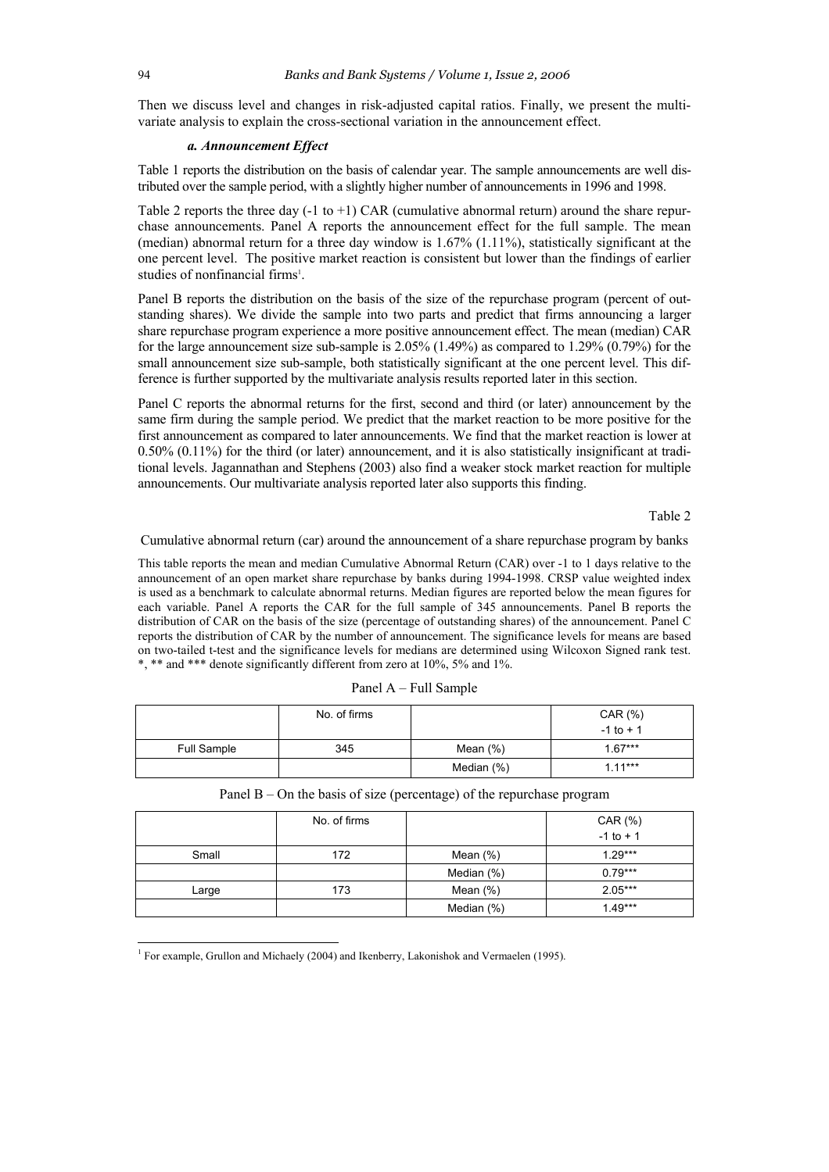Then we discuss level and changes in risk-adjusted capital ratios. Finally, we present the multivariate analysis to explain the cross-sectional variation in the announcement effect.

### *a. Announcement Effect*

Table 1 reports the distribution on the basis of calendar year. The sample announcements are well distributed over the sample period, with a slightly higher number of announcements in 1996 and 1998.

Table 2 reports the three day  $(-1 \text{ to } +1)$  CAR (cumulative abnormal return) around the share repurchase announcements. Panel A reports the announcement effect for the full sample. The mean (median) abnormal return for a three day window is 1.67% (1.11%), statistically significant at the one percent level. The positive market reaction is consistent but lower than the findings of earlier studies of nonfinancial firms<sup>1</sup>.

Panel B reports the distribution on the basis of the size of the repurchase program (percent of outstanding shares). We divide the sample into two parts and predict that firms announcing a larger share repurchase program experience a more positive announcement effect. The mean (median) CAR for the large announcement size sub-sample is 2.05% (1.49%) as compared to 1.29% (0.79%) for the small announcement size sub-sample, both statistically significant at the one percent level. This difference is further supported by the multivariate analysis results reported later in this section.

Panel C reports the abnormal returns for the first, second and third (or later) announcement by the same firm during the sample period. We predict that the market reaction to be more positive for the first announcement as compared to later announcements. We find that the market reaction is lower at  $0.50\%$   $(0.11\%)$  for the third (or later) announcement, and it is also statistically insignificant at traditional levels. Jagannathan and Stephens (2003) also find a weaker stock market reaction for multiple announcements. Our multivariate analysis reported later also supports this finding.

Table 2

Cumulative abnormal return (car) around the announcement of a share repurchase program by banks

This table reports the mean and median Cumulative Abnormal Return (CAR) over -1 to 1 days relative to the announcement of an open market share repurchase by banks during 1994-1998. CRSP value weighted index is used as a benchmark to calculate abnormal returns. Median figures are reported below the mean figures for each variable. Panel A reports the CAR for the full sample of 345 announcements. Panel B reports the distribution of CAR on the basis of the size (percentage of outstanding shares) of the announcement. Panel C reports the distribution of CAR by the number of announcement. The significance levels for means are based on two-tailed t-test and the significance levels for medians are determined using Wilcoxon Signed rank test. \*, \*\* and \*\*\* denote significantly different from zero at 10%, 5% and 1%.

| Panel A – Full Sample |  |
|-----------------------|--|
|-----------------------|--|

|             | No. of firms |               | CAR (%)<br>$-1$ to $+1$ |
|-------------|--------------|---------------|-------------------------|
| Full Sample | 345          | Mean $(\%)$   | $1.67***$               |
|             |              | Median $(\%)$ | $1.11***$               |

|       | No. of firms |             | CAR (%)<br>$-1$ to $+1$ |
|-------|--------------|-------------|-------------------------|
| Small | 172          | Mean $(\%)$ | $1.29***$               |
|       |              | Median (%)  | $0.79***$               |
| Large | 173          | Mean (%)    | $2.05***$               |

Median  $(\%)$  1.49\*\*\*

|  | Panel $B$ – On the basis of size (percentage) of the repurchase program |  |
|--|-------------------------------------------------------------------------|--|
|  |                                                                         |  |

 $\overline{\phantom{a}}$ 

<sup>&</sup>lt;sup>1</sup> For example, Grullon and Michaely (2004) and Ikenberry, Lakonishok and Vermaelen (1995).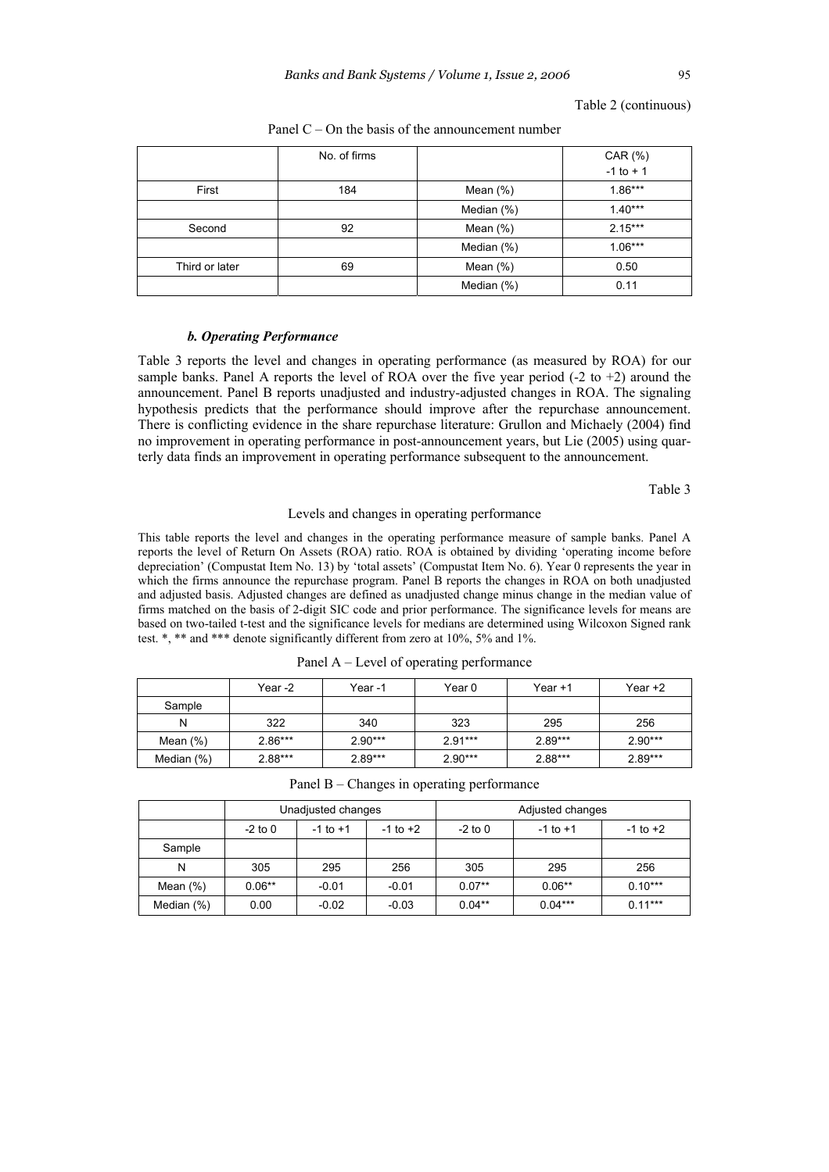|                | No. of firms |             | CAR (%)      |
|----------------|--------------|-------------|--------------|
|                |              |             | $-1$ to $+1$ |
| First          | 184          | Mean $(\%)$ | $1.86***$    |
|                |              | Median (%)  | $1.40***$    |
| Second         | 92           | Mean $(\%)$ | $2.15***$    |
|                |              | Median (%)  | $1.06***$    |
| Third or later | 69           | Mean $(\%)$ | 0.50         |
|                |              | Median (%)  | 0.11         |

Panel  $C$  – On the basis of the announcement number

### *b. Operating Performance*

Table 3 reports the level and changes in operating performance (as measured by ROA) for our sample banks. Panel A reports the level of ROA over the five year period  $(-2 \text{ to } +2)$  around the announcement. Panel B reports unadjusted and industry-adjusted changes in ROA. The signaling hypothesis predicts that the performance should improve after the repurchase announcement. There is conflicting evidence in the share repurchase literature: Grullon and Michaely (2004) find no improvement in operating performance in post-announcement years, but Lie (2005) using quarterly data finds an improvement in operating performance subsequent to the announcement.

Table 3

#### Levels and changes in operating performance

This table reports the level and changes in the operating performance measure of sample banks. Panel A reports the level of Return On Assets (ROA) ratio. ROA is obtained by dividing 'operating income before depreciation' (Compustat Item No. 13) by 'total assets' (Compustat Item No. 6). Year 0 represents the year in which the firms announce the repurchase program. Panel B reports the changes in ROA on both unadjusted and adjusted basis. Adjusted changes are defined as unadjusted change minus change in the median value of firms matched on the basis of 2-digit SIC code and prior performance. The significance levels for means are based on two-tailed t-test and the significance levels for medians are determined using Wilcoxon Signed rank test. \*, \*\* and \*\*\* denote significantly different from zero at 10%, 5% and 1%.

|               | Year -2   | Year-1    | Year 0    | Year +1   | Year +2   |
|---------------|-----------|-----------|-----------|-----------|-----------|
| Sample        |           |           |           |           |           |
| N             | 322       | 340       | 323       | 295       | 256       |
| Mean $(\%)$   | $2.86***$ | $2.90***$ | $2.91***$ | $2.89***$ | $2.90***$ |
| Median $(\%)$ | $2.88***$ | $2.89***$ | $2.90***$ | $2.88***$ | $2.89***$ |

| Panel B – Changes in operating performance |                                        |              |              |           |              |              |  |  |
|--------------------------------------------|----------------------------------------|--------------|--------------|-----------|--------------|--------------|--|--|
|                                            | Unadjusted changes<br>Adjusted changes |              |              |           |              |              |  |  |
|                                            | $-2$ to 0                              | $-1$ to $+1$ | $-1$ to $+2$ | $-2$ to 0 | $-1$ to $+1$ | $-1$ to $+2$ |  |  |
| Sample                                     |                                        |              |              |           |              |              |  |  |
| N                                          | 305                                    | 295          | 256          | 305       | 295          | 256          |  |  |
| Mean $(\%)$                                | $0.06**$                               | $-0.01$      | $-0.01$      | $0.07**$  | $0.06**$     | $0.10***$    |  |  |
| Median $(\%)$                              | 0.00                                   | $-0.02$      | $-0.03$      | $0.04**$  | $0.04***$    | $0.11***$    |  |  |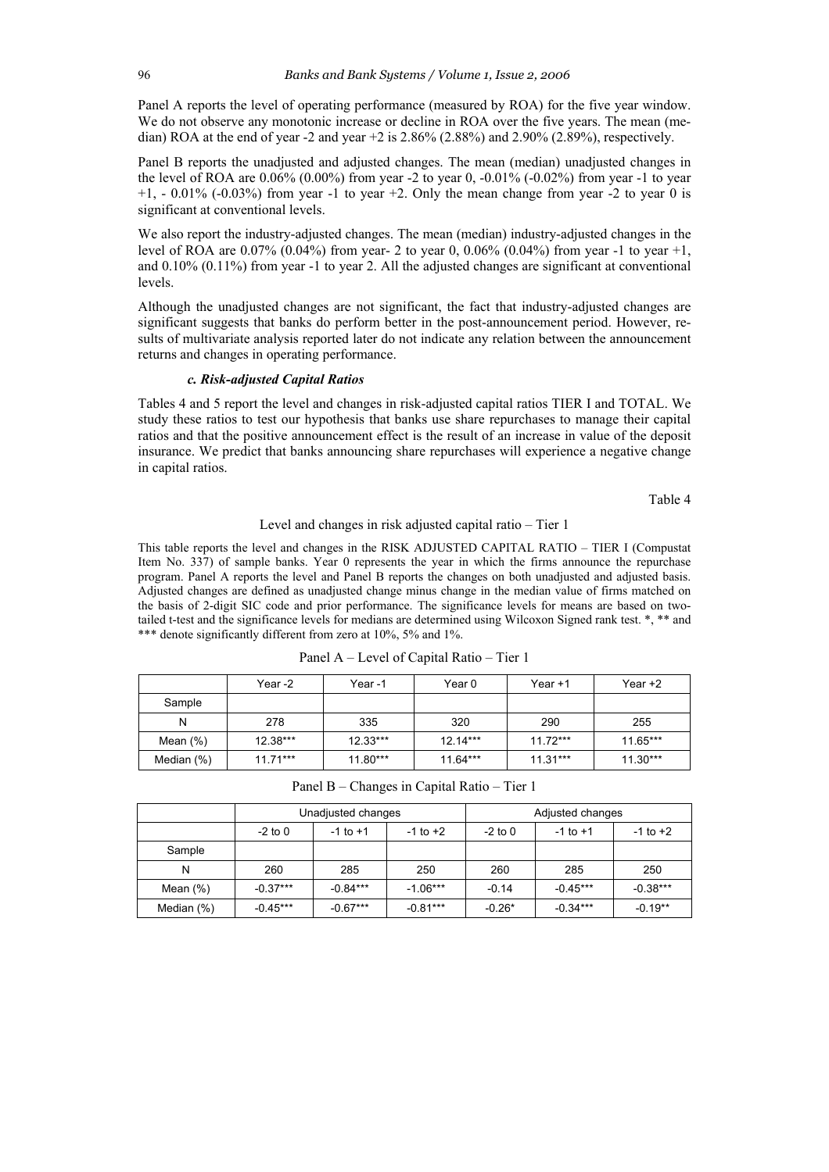Panel A reports the level of operating performance (measured by ROA) for the five year window. We do not observe any monotonic increase or decline in ROA over the five years. The mean (median) ROA at the end of year -2 and year +2 is  $2.86\%$  (2.88%) and  $2.90\%$  (2.89%), respectively.

Panel B reports the unadjusted and adjusted changes. The mean (median) unadjusted changes in the level of ROA are  $0.06\%$  (0.00%) from year -2 to year 0, -0.01% (-0.02%) from year -1 to year  $+1$ ,  $-0.01\%$  ( $-0.03\%$ ) from year  $-1$  to year  $+2$ . Only the mean change from year  $-2$  to year 0 is significant at conventional levels.

We also report the industry-adjusted changes. The mean (median) industry-adjusted changes in the level of ROA are 0.07% (0.04%) from year- 2 to year 0, 0.06% (0.04%) from year -1 to year +1, and 0.10% (0.11%) from year -1 to year 2. All the adjusted changes are significant at conventional levels.

Although the unadjusted changes are not significant, the fact that industry-adjusted changes are significant suggests that banks do perform better in the post-announcement period. However, results of multivariate analysis reported later do not indicate any relation between the announcement returns and changes in operating performance.

# *c. Risk-adjusted Capital Ratios*

Tables 4 and 5 report the level and changes in risk-adjusted capital ratios TIER I and TOTAL. We study these ratios to test our hypothesis that banks use share repurchases to manage their capital ratios and that the positive announcement effect is the result of an increase in value of the deposit insurance. We predict that banks announcing share repurchases will experience a negative change in capital ratios.

Table 4

### Level and changes in risk adjusted capital ratio – Tier 1

This table reports the level and changes in the RISK ADJUSTED CAPITAL RATIO – TIER I (Compustat Item No. 337) of sample banks. Year 0 represents the year in which the firms announce the repurchase program. Panel A reports the level and Panel B reports the changes on both unadjusted and adjusted basis. Adjusted changes are defined as unadjusted change minus change in the median value of firms matched on the basis of 2-digit SIC code and prior performance. The significance levels for means are based on twotailed t-test and the significance levels for medians are determined using Wilcoxon Signed rank test. \*, \*\* and \*\*\* denote significantly different from zero at 10%, 5% and 1%.

|             | Year -2    | Year-1     | Year 0     | Year +1    | Year $+2$  |
|-------------|------------|------------|------------|------------|------------|
| Sample      |            |            |            |            |            |
| N           | 278        | 335        | 320        | 290        | 255        |
| Mean $(\%)$ | $12.38***$ | $12.33***$ | $12.14***$ | $11.72***$ | 11.65***   |
| Median (%)  | $1171***$  | $11.80***$ | $11.64***$ | $11.31***$ | $11.30***$ |

Panel A – Level of Capital Ratio – Tier 1

| Panel B – Changes in Capital Ratio – Tier 1 |  |  |  |
|---------------------------------------------|--|--|--|
|                                             |  |  |  |

|               | Unadjusted changes |              |              | Adjusted changes |              |              |
|---------------|--------------------|--------------|--------------|------------------|--------------|--------------|
|               | $-2$ to 0          | $-1$ to $+1$ | $-1$ to $+2$ | $-2$ to 0        | $-1$ to $+1$ | $-1$ to $+2$ |
| Sample        |                    |              |              |                  |              |              |
| N             | 260                | 285          | 250          | 260              | 285          | 250          |
| Mean $(\%)$   | $-0.37***$         | $-0.84***$   | $-1.06***$   | $-0.14$          | $-0.45***$   | $-0.38***$   |
| Median $(\%)$ | $-0.45***$         | $-0.67***$   | $-0.81***$   | $-0.26*$         | $-0.34***$   | $-0.19**$    |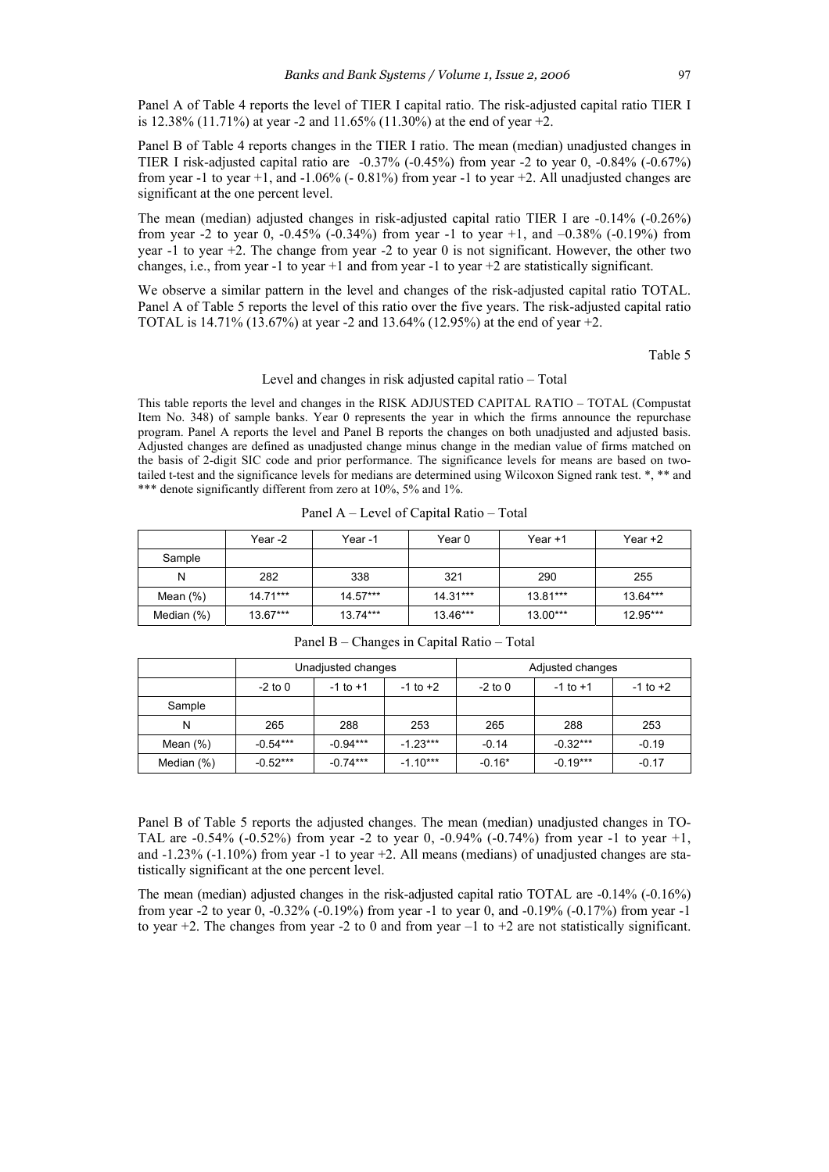Panel A of Table 4 reports the level of TIER I capital ratio. The risk-adjusted capital ratio TIER I is 12.38% (11.71%) at year -2 and 11.65% (11.30%) at the end of year  $+2$ .

Panel B of Table 4 reports changes in the TIER I ratio. The mean (median) unadjusted changes in TIER I risk-adjusted capital ratio are -0.37% (-0.45%) from year -2 to year 0, -0.84% (-0.67%) from year -1 to year +1, and -1.06% (- 0.81%) from year -1 to year +2. All unadjusted changes are significant at the one percent level.

The mean (median) adjusted changes in risk-adjusted capital ratio TIER I are -0.14% (-0.26%) from year -2 to year 0,  $-0.45\%$  ( $-0.34\%$ ) from year -1 to year +1, and  $-0.38\%$  ( $-0.19\%$ ) from year -1 to year +2. The change from year -2 to year 0 is not significant. However, the other two changes, i.e., from year -1 to year +1 and from year -1 to year +2 are statistically significant.

We observe a similar pattern in the level and changes of the risk-adjusted capital ratio TOTAL. Panel A of Table 5 reports the level of this ratio over the five years. The risk-adjusted capital ratio TOTAL is 14.71% (13.67%) at year -2 and 13.64% (12.95%) at the end of year +2.

Table 5

#### Level and changes in risk adjusted capital ratio – Total

This table reports the level and changes in the RISK ADJUSTED CAPITAL RATIO – TOTAL (Compustat Item No. 348) of sample banks. Year 0 represents the year in which the firms announce the repurchase program. Panel A reports the level and Panel B reports the changes on both unadjusted and adjusted basis. Adjusted changes are defined as unadjusted change minus change in the median value of firms matched on the basis of 2-digit SIC code and prior performance. The significance levels for means are based on twotailed t-test and the significance levels for medians are determined using Wilcoxon Signed rank test. \*, \*\* and \*\*\* denote significantly different from zero at 10%, 5% and 1%.

|               | Year -2    | Year-1     | Year 0     | Year +1    | Year $+2$  |
|---------------|------------|------------|------------|------------|------------|
| Sample        |            |            |            |            |            |
| N             | 282        | 338        | 321        | 290        | 255        |
| Mean $(\%)$   | $14.71***$ | $14.57***$ | $14.31***$ | 13.81***   | 13.64***   |
| Median $(\%)$ | $13.67***$ | $13.74***$ | 13.46***   | $13.00***$ | $12.95***$ |

Panel A – Level of Capital Ratio – Total

|               | Unadjusted changes |              |              | Adjusted changes |              |              |
|---------------|--------------------|--------------|--------------|------------------|--------------|--------------|
|               | $-2$ to 0          | $-1$ to $+1$ | $-1$ to $+2$ | $-2$ to 0        | $-1$ to $+1$ | $-1$ to $+2$ |
| Sample        |                    |              |              |                  |              |              |
| N             | 265                | 288          | 253          | 265              | 288          | 253          |
| Mean $(\%)$   | $-0.54***$         | $-0.94***$   | $-1.23***$   | $-0.14$          | $-0.32***$   | $-0.19$      |
| Median $(\%)$ | $-0.52***$         | $-0.74***$   | $-1.10***$   | $-0.16*$         | $-0.19***$   | $-0.17$      |

Panel B – Changes in Capital Ratio – Total

Panel B of Table 5 reports the adjusted changes. The mean (median) unadjusted changes in TO-TAL are  $-0.54\%$  ( $-0.52\%$ ) from year  $-2$  to year 0,  $-0.94\%$  ( $-0.74\%$ ) from year  $-1$  to year  $+1$ , and -1.23% (-1.10%) from year -1 to year +2. All means (medians) of unadjusted changes are statistically significant at the one percent level.

The mean (median) adjusted changes in the risk-adjusted capital ratio TOTAL are -0.14% (-0.16%) from year -2 to year 0, -0.32% (-0.19%) from year -1 to year 0, and -0.19% (-0.17%) from year -1 to year  $+2$ . The changes from year -2 to 0 and from year  $-1$  to  $+2$  are not statistically significant.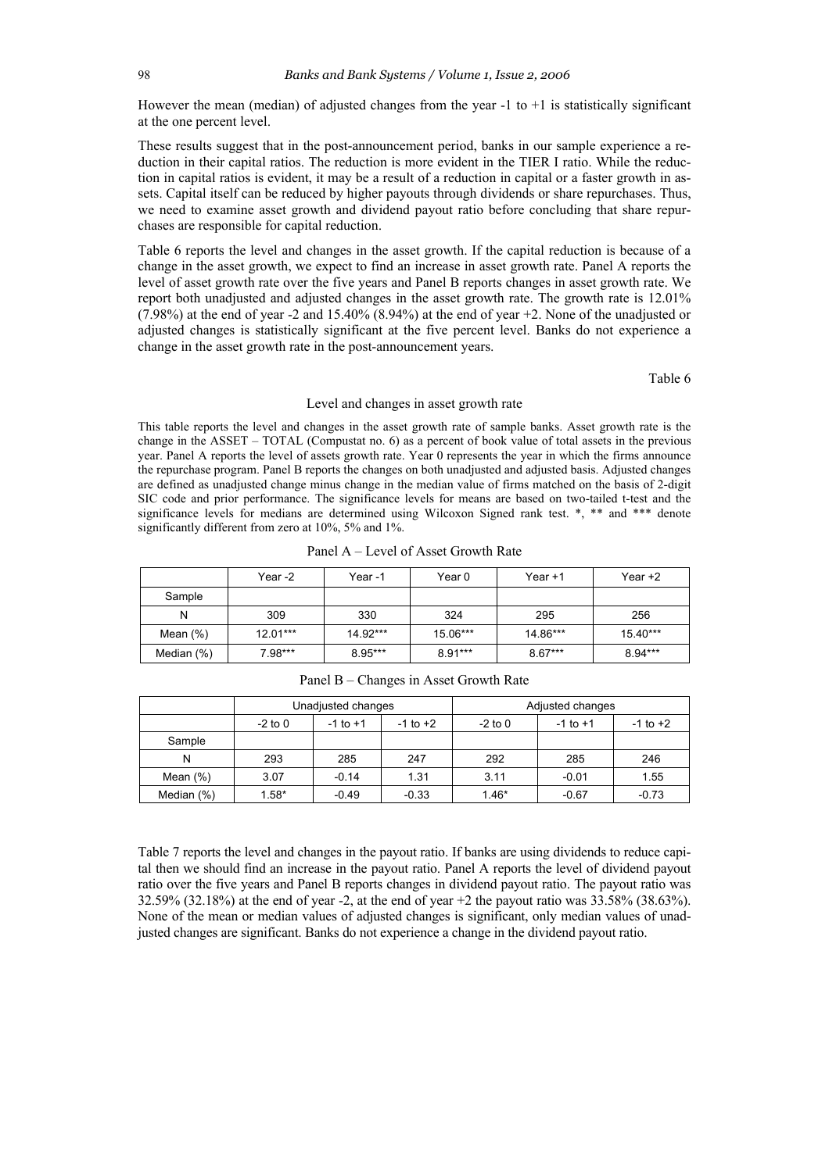However the mean (median) of adjusted changes from the year  $-1$  to  $+1$  is statistically significant at the one percent level.

These results suggest that in the post-announcement period, banks in our sample experience a reduction in their capital ratios. The reduction is more evident in the TIER I ratio. While the reduction in capital ratios is evident, it may be a result of a reduction in capital or a faster growth in assets. Capital itself can be reduced by higher payouts through dividends or share repurchases. Thus, we need to examine asset growth and dividend payout ratio before concluding that share repurchases are responsible for capital reduction.

Table 6 reports the level and changes in the asset growth. If the capital reduction is because of a change in the asset growth, we expect to find an increase in asset growth rate. Panel A reports the level of asset growth rate over the five years and Panel B reports changes in asset growth rate. We report both unadjusted and adjusted changes in the asset growth rate. The growth rate is 12.01% (7.98%) at the end of year -2 and 15.40% (8.94%) at the end of year +2. None of the unadjusted or adjusted changes is statistically significant at the five percent level. Banks do not experience a change in the asset growth rate in the post-announcement years.

Table 6

### Level and changes in asset growth rate

This table reports the level and changes in the asset growth rate of sample banks. Asset growth rate is the change in the ASSET – TOTAL (Compustat no. 6) as a percent of book value of total assets in the previous year. Panel A reports the level of assets growth rate. Year 0 represents the year in which the firms announce the repurchase program. Panel B reports the changes on both unadjusted and adjusted basis. Adjusted changes are defined as unadjusted change minus change in the median value of firms matched on the basis of 2-digit SIC code and prior performance. The significance levels for means are based on two-tailed t-test and the significance levels for medians are determined using Wilcoxon Signed rank test. \*, \*\* and \*\*\* denote significantly different from zero at 10%, 5% and 1%.

Panel A – Level of Asset Growth Rate

|               | Year -2    | Year -1   | Year 0    | Year +1   | Year +2    |
|---------------|------------|-----------|-----------|-----------|------------|
| Sample        |            |           |           |           |            |
| N             | 309        | 330       | 324       | 295       | 256        |
| Mean $(\%)$   | $12.01***$ | 14.92***  | 15.06***  | 14.86***  | $15.40***$ |
| Median $(\%)$ | $7.98***$  | $8.95***$ | $8.91***$ | $8.67***$ | $8.94***$  |

|               | Unadjusted changes |              |              | Adjusted changes |              |              |
|---------------|--------------------|--------------|--------------|------------------|--------------|--------------|
|               | $-2$ to 0          | $-1$ to $+1$ | $-1$ to $+2$ | $-2$ to 0        | $-1$ to $+1$ | $-1$ to $+2$ |
| Sample        |                    |              |              |                  |              |              |
| N             | 293                | 285          | 247          | 292              | 285          | 246          |
| Mean $(\%)$   | 3.07               | $-0.14$      | 1.31         | 3.11             | $-0.01$      | 1.55         |
| Median $(\%)$ | $1.58*$            | $-0.49$      | $-0.33$      | $1.46*$          | $-0.67$      | $-0.73$      |

Panel B – Changes in Asset Growth Rate

Table 7 reports the level and changes in the payout ratio. If banks are using dividends to reduce capital then we should find an increase in the payout ratio. Panel A reports the level of dividend payout ratio over the five years and Panel B reports changes in dividend payout ratio. The payout ratio was 32.59% (32.18%) at the end of year -2, at the end of year +2 the payout ratio was 33.58% (38.63%). None of the mean or median values of adjusted changes is significant, only median values of unadjusted changes are significant. Banks do not experience a change in the dividend payout ratio.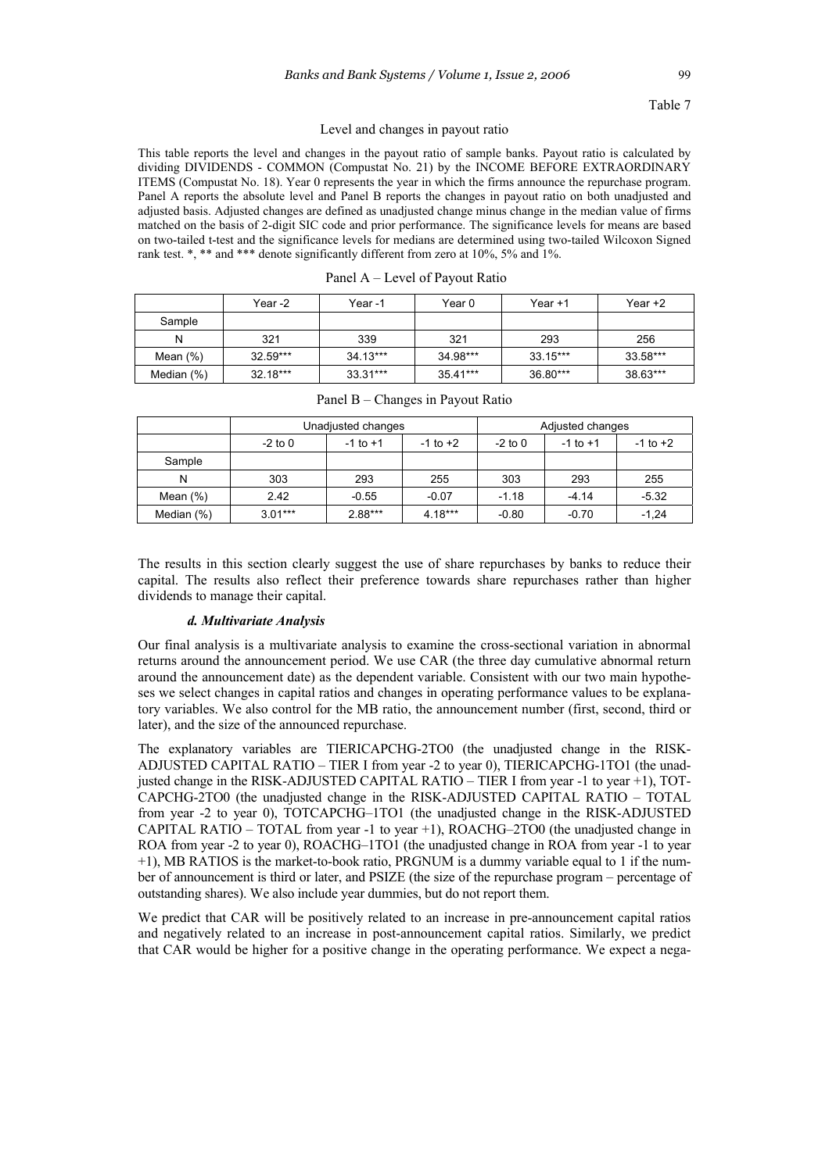### Table 7

#### Level and changes in payout ratio

This table reports the level and changes in the payout ratio of sample banks. Payout ratio is calculated by dividing DIVIDENDS - COMMON (Compustat No. 21) by the INCOME BEFORE EXTRAORDINARY ITEMS (Compustat No. 18). Year 0 represents the year in which the firms announce the repurchase program. Panel A reports the absolute level and Panel B reports the changes in payout ratio on both unadjusted and adjusted basis. Adjusted changes are defined as unadjusted change minus change in the median value of firms matched on the basis of 2-digit SIC code and prior performance. The significance levels for means are based on two-tailed t-test and the significance levels for medians are determined using two-tailed Wilcoxon Signed rank test. \*, \*\* and \*\*\* denote significantly different from zero at 10%, 5% and 1%.

|             | Year -2    | Year -1    | Year 0   | Year $+1$ | Year +2  |
|-------------|------------|------------|----------|-----------|----------|
| Sample      |            |            |          |           |          |
| N           | 321        | 339        | 321      | 293       | 256      |
| Mean $(\%)$ | $32.59***$ | 34.13***   | 34.98*** | 33.15***  | 33.58*** |
| Median (%)  | $32.18***$ | $33.31***$ | 35.41*** | 36.80***  | 38.63*** |

|               | Unadjusted changes |              |              | Adjusted changes |              |              |
|---------------|--------------------|--------------|--------------|------------------|--------------|--------------|
|               | $-2$ to 0          | $-1$ to $+1$ | $-1$ to $+2$ | $-2$ to 0        | $-1$ to $+1$ | $-1$ to $+2$ |
| Sample        |                    |              |              |                  |              |              |
| N             | 303                | 293          | 255          | 303              | 293          | 255          |
| Mean $(\%)$   | 2.42               | $-0.55$      | $-0.07$      | $-1.18$          | $-4.14$      | $-5.32$      |
| Median $(\%)$ | $3.01***$          | $2.88***$    | $4.18***$    | $-0.80$          | $-0.70$      | $-1,24$      |

| Panel B – Changes in Payout Ratio |  |
|-----------------------------------|--|
|-----------------------------------|--|

The results in this section clearly suggest the use of share repurchases by banks to reduce their capital. The results also reflect their preference towards share repurchases rather than higher dividends to manage their capital.

### *d. Multivariate Analysis*

Our final analysis is a multivariate analysis to examine the cross-sectional variation in abnormal returns around the announcement period. We use CAR (the three day cumulative abnormal return around the announcement date) as the dependent variable. Consistent with our two main hypotheses we select changes in capital ratios and changes in operating performance values to be explanatory variables. We also control for the MB ratio, the announcement number (first, second, third or later), and the size of the announced repurchase.

The explanatory variables are TIERICAPCHG-2TO0 (the unadjusted change in the RISK-ADJUSTED CAPITAL RATIO – TIER I from year -2 to year 0), TIERICAPCHG-1TO1 (the unadjusted change in the RISK-ADJUSTED CAPITAL RATIO – TIER I from year -1 to year +1), TOT-CAPCHG-2TO0 (the unadjusted change in the RISK-ADJUSTED CAPITAL RATIO – TOTAL from year -2 to year 0), TOTCAPCHG–1TO1 (the unadjusted change in the RISK-ADJUSTED CAPITAL RATIO – TOTAL from year -1 to year +1), ROACHG–2TO0 (the unadjusted change in ROA from year -2 to year 0), ROACHG–1TO1 (the unadjusted change in ROA from year -1 to year +1), MB RATIOS is the market-to-book ratio, PRGNUM is a dummy variable equal to 1 if the number of announcement is third or later, and PSIZE (the size of the repurchase program – percentage of outstanding shares). We also include year dummies, but do not report them.

We predict that CAR will be positively related to an increase in pre-announcement capital ratios and negatively related to an increase in post-announcement capital ratios. Similarly, we predict that CAR would be higher for a positive change in the operating performance. We expect a nega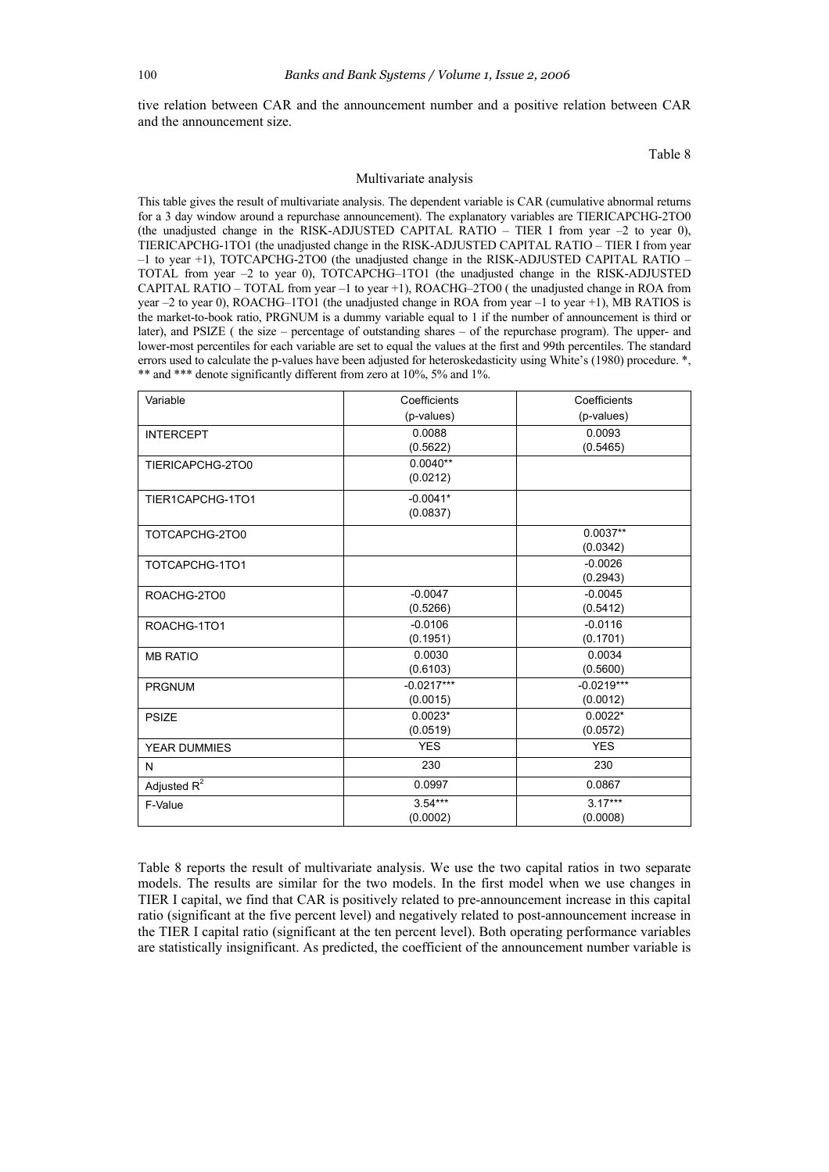tive relation between CAR and the announcement number and a positive relation between CAR and the announcement size.

Table 8

#### Multivariate analysis

This table gives the result of multivariate analysis. The dependent variable is CAR (cumulative abnormal returns for a 3 day window around a repurchase announcement). The explanatory variables are TIERICAPCHG-2TO0 (the unadjusted change in the RISK-ADJUSTED CAPITAL RATIO – TIER I from year –2 to year 0), TIERICAPCHG-1TO1 (the unadjusted change in the RISK-ADJUSTED CAPITAL RATIO – TIER I from year –1 to year +1), TOTCAPCHG-2TO0 (the unadjusted change in the RISK-ADJUSTED CAPITAL RATIO – TOTAL from year –2 to year 0), TOTCAPCHG–1TO1 (the unadjusted change in the RISK-ADJUSTED CAPITAL RATIO – TOTAL from year –1 to year +1), ROACHG–2TO0 ( the unadjusted change in ROA from year –2 to year 0), ROACHG–1TO1 (the unadjusted change in ROA from year –1 to year +1), MB RATIOS is the market-to-book ratio, PRGNUM is a dummy variable equal to 1 if the number of announcement is third or later), and PSIZE ( the size – percentage of outstanding shares – of the repurchase program). The upper- and lower-most percentiles for each variable are set to equal the values at the first and 99th percentiles. The standard errors used to calculate the p-values have been adjusted for heteroskedasticity using White's (1980) procedure. \*, \*\* and \*\*\* denote significantly different from zero at 10%, 5% and 1%.

| Variable            | Coefficients | Coefficients |
|---------------------|--------------|--------------|
|                     | (p-values)   | (p-values)   |
| <b>INTERCEPT</b>    | 0.0088       | 0.0093       |
|                     | (0.5622)     | (0.5465)     |
| TIERICAPCHG-2TO0    | $0.0040**$   |              |
|                     | (0.0212)     |              |
| TIER1CAPCHG-1TO1    | $-0.0041*$   |              |
|                     | (0.0837)     |              |
| TOTCAPCHG-2TO0      |              | $0.0037**$   |
|                     |              | (0.0342)     |
| TOTCAPCHG-1TO1      |              | $-0.0026$    |
|                     |              | (0.2943)     |
| ROACHG-2TO0         | $-0.0047$    | $-0.0045$    |
|                     | (0.5266)     | (0.5412)     |
| ROACHG-1TO1         | $-0.0106$    | $-0.0116$    |
|                     | (0.1951)     | (0.1701)     |
| <b>MB RATIO</b>     | 0.0030       | 0.0034       |
|                     | (0.6103)     | (0.5600)     |
| <b>PRGNUM</b>       | $-0.0217***$ | $-0.0219***$ |
|                     | (0.0015)     | (0.0012)     |
| <b>PSIZE</b>        | $0.0023*$    | $0.0022*$    |
|                     | (0.0519)     | (0.0572)     |
| <b>YEAR DUMMIES</b> | <b>YES</b>   | <b>YES</b>   |
| N                   | 230          | 230          |
| Adjusted $R^2$      | 0.0997       | 0.0867       |
| F-Value             | $3.54***$    | $3.17***$    |
|                     | (0.0002)     | (0.0008)     |

Table 8 reports the result of multivariate analysis. We use the two capital ratios in two separate models. The results are similar for the two models. In the first model when we use changes in TIER I capital, we find that CAR is positively related to pre-announcement increase in this capital ratio (significant at the five percent level) and negatively related to post-announcement increase in the TIER I capital ratio (significant at the ten percent level). Both operating performance variables are statistically insignificant. As predicted, the coefficient of the announcement number variable is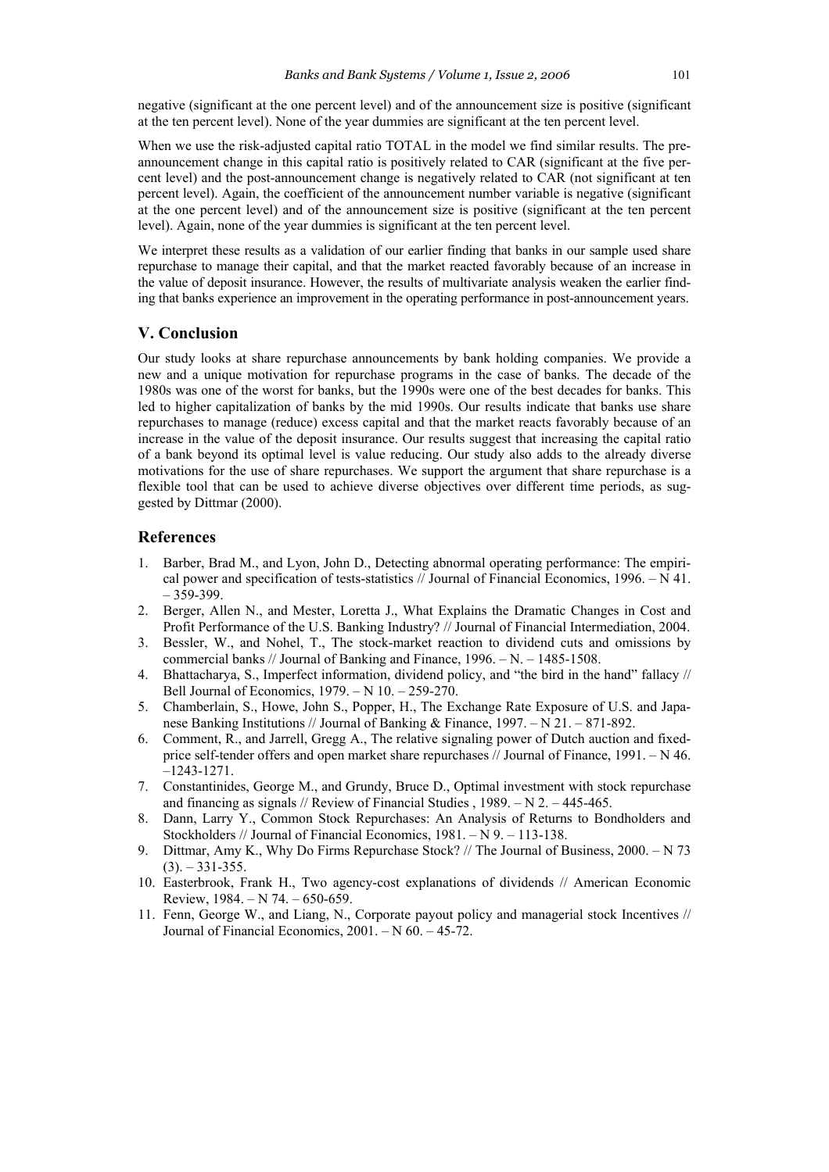negative (significant at the one percent level) and of the announcement size is positive (significant at the ten percent level). None of the year dummies are significant at the ten percent level.

When we use the risk-adjusted capital ratio TOTAL in the model we find similar results. The preannouncement change in this capital ratio is positively related to CAR (significant at the five percent level) and the post-announcement change is negatively related to CAR (not significant at ten percent level). Again, the coefficient of the announcement number variable is negative (significant at the one percent level) and of the announcement size is positive (significant at the ten percent level). Again, none of the year dummies is significant at the ten percent level.

We interpret these results as a validation of our earlier finding that banks in our sample used share repurchase to manage their capital, and that the market reacted favorably because of an increase in the value of deposit insurance. However, the results of multivariate analysis weaken the earlier finding that banks experience an improvement in the operating performance in post-announcement years.

# **V. Conclusion**

Our study looks at share repurchase announcements by bank holding companies. We provide a new and a unique motivation for repurchase programs in the case of banks. The decade of the 1980s was one of the worst for banks, but the 1990s were one of the best decades for banks. This led to higher capitalization of banks by the mid 1990s. Our results indicate that banks use share repurchases to manage (reduce) excess capital and that the market reacts favorably because of an increase in the value of the deposit insurance. Our results suggest that increasing the capital ratio of a bank beyond its optimal level is value reducing. Our study also adds to the already diverse motivations for the use of share repurchases. We support the argument that share repurchase is a flexible tool that can be used to achieve diverse objectives over different time periods, as suggested by Dittmar (2000).

### **References**

- 1. Barber, Brad M., and Lyon, John D., Detecting abnormal operating performance: The empirical power and specification of tests-statistics  $//$  Journal of Financial Economics, 1996. – N 41.  $-359-399.$
- 2. Berger, Allen N., and Mester, Loretta J., What Explains the Dramatic Changes in Cost and Profit Performance of the U.S. Banking Industry? // Journal of Financial Intermediation, 2004.
- 3. Bessler, W., and Nohel, T., The stock-market reaction to dividend cuts and omissions by commercial banks // Journal of Banking and Finance, 1996. – N. – 1485-1508.
- 4. Bhattacharya, S., Imperfect information, dividend policy, and "the bird in the hand" fallacy // Bell Journal of Economics, 1979. – N 10. – 259-270.
- 5. Chamberlain, S., Howe, John S., Popper, H., The Exchange Rate Exposure of U.S. and Japanese Banking Institutions // Journal of Banking & Finance, 1997. – N 21. – 871-892.
- 6. Comment, R., and Jarrell, Gregg A., The relative signaling power of Dutch auction and fixedprice self-tender offers and open market share repurchases // Journal of Finance, 1991. – N 46. –1243-1271.
- 7. Constantinides, George M., and Grundy, Bruce D., Optimal investment with stock repurchase and financing as signals // Review of Financial Studies , 1989. – N 2. – 445-465.
- 8. Dann, Larry Y., Common Stock Repurchases: An Analysis of Returns to Bondholders and Stockholders // Journal of Financial Economics, 1981. – N 9. – 113-138.
- 9. Dittmar, Amy K., Why Do Firms Repurchase Stock? // The Journal of Business, 2000. N 73  $(3)$ . – 331-355.
- 10. Easterbrook, Frank H., Two agency-cost explanations of dividends // American Economic Review, 1984. – N 74. – 650-659.
- 11. Fenn, George W., and Liang, N., Corporate payout policy and managerial stock Incentives // Journal of Financial Economics, 2001. – N 60. – 45-72.